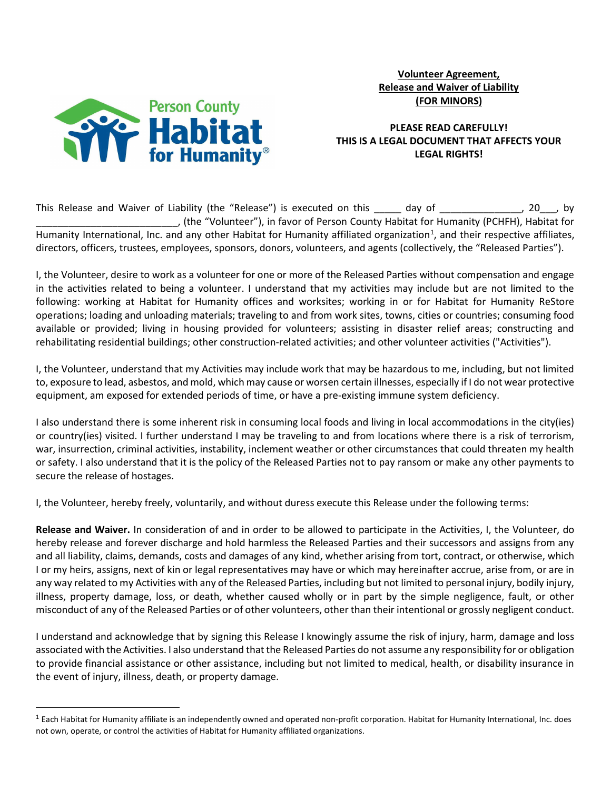

# Volunteer Agreement, Release and Waiver of Liability (FOR MINORS)

## PLEASE READ CAREFULLY! THIS IS A LEGAL DOCUMENT THAT AFFECTS YOUR LEGAL RIGHTS!

This Release and Waiver of Liability (the "Release") is executed on this \_\_\_\_\_ day of \_\_\_\_\_\_\_\_\_\_\_\_\_, 20\_\_, by \_\_\_\_\_\_\_\_\_\_\_\_\_\_\_\_\_\_\_\_\_\_\_\_\_\_, (the "Volunteer"), in favor of Person County Habitat for Humanity (PCHFH), Habitat for Humanity International, Inc. and any other Habitat for Humanity affiliated organization<sup>1</sup>, and their respective affiliates, directors, officers, trustees, employees, sponsors, donors, volunteers, and agents (collectively, the "Released Parties").

I, the Volunteer, desire to work as a volunteer for one or more of the Released Parties without compensation and engage in the activities related to being a volunteer. I understand that my activities may include but are not limited to the following: working at Habitat for Humanity offices and worksites; working in or for Habitat for Humanity ReStore operations; loading and unloading materials; traveling to and from work sites, towns, cities or countries; consuming food available or provided; living in housing provided for volunteers; assisting in disaster relief areas; constructing and rehabilitating residential buildings; other construction-related activities; and other volunteer activities ("Activities").

I, the Volunteer, understand that my Activities may include work that may be hazardous to me, including, but not limited to, exposure to lead, asbestos, and mold, which may cause or worsen certain illnesses, especially if I do not wear protective equipment, am exposed for extended periods of time, or have a pre-existing immune system deficiency.

I also understand there is some inherent risk in consuming local foods and living in local accommodations in the city(ies) or country(ies) visited. I further understand I may be traveling to and from locations where there is a risk of terrorism, war, insurrection, criminal activities, instability, inclement weather or other circumstances that could threaten my health or safety. I also understand that it is the policy of the Released Parties not to pay ransom or make any other payments to secure the release of hostages.

I, the Volunteer, hereby freely, voluntarily, and without duress execute this Release under the following terms:

Release and Waiver. In consideration of and in order to be allowed to participate in the Activities, I, the Volunteer, do hereby release and forever discharge and hold harmless the Released Parties and their successors and assigns from any and all liability, claims, demands, costs and damages of any kind, whether arising from tort, contract, or otherwise, which I or my heirs, assigns, next of kin or legal representatives may have or which may hereinafter accrue, arise from, or are in any way related to my Activities with any of the Released Parties, including but not limited to personal injury, bodily injury, illness, property damage, loss, or death, whether caused wholly or in part by the simple negligence, fault, or other misconduct of any of the Released Parties or of other volunteers, other than their intentional or grossly negligent conduct.

I understand and acknowledge that by signing this Release I knowingly assume the risk of injury, harm, damage and loss associated with the Activities. I also understand that the Released Parties do not assume any responsibility for or obligation to provide financial assistance or other assistance, including but not limited to medical, health, or disability insurance in the event of injury, illness, death, or property damage.

 $1$  Each Habitat for Humanity affiliate is an independently owned and operated non-profit corporation. Habitat for Humanity International, Inc. does not own, operate, or control the activities of Habitat for Humanity affiliated organizations.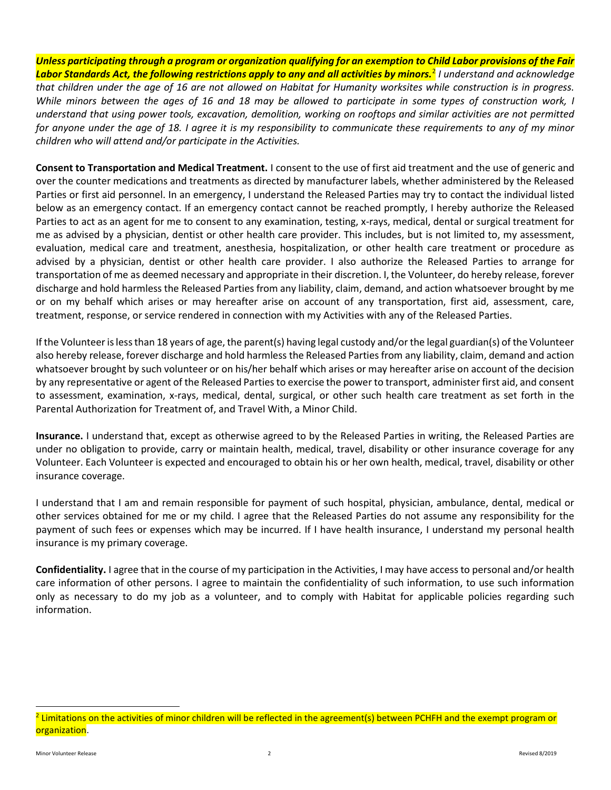Unless participating through a program or organization qualifying for an exemption to Child Labor provisions of the Fair **Labor Standards Act, the following restrictions apply to any and all activities by minors.<sup>2</sup> I understand and acknowledge** that children under the age of 16 are not allowed on Habitat for Humanity worksites while construction is in progress. While minors between the ages of 16 and 18 may be allowed to participate in some types of construction work, I understand that using power tools, excavation, demolition, working on rooftops and similar activities are not permitted for anyone under the age of 18. I agree it is my responsibility to communicate these requirements to any of my minor children who will attend and/or participate in the Activities.

Consent to Transportation and Medical Treatment. I consent to the use of first aid treatment and the use of generic and over the counter medications and treatments as directed by manufacturer labels, whether administered by the Released Parties or first aid personnel. In an emergency, I understand the Released Parties may try to contact the individual listed below as an emergency contact. If an emergency contact cannot be reached promptly, I hereby authorize the Released Parties to act as an agent for me to consent to any examination, testing, x-rays, medical, dental or surgical treatment for me as advised by a physician, dentist or other health care provider. This includes, but is not limited to, my assessment, evaluation, medical care and treatment, anesthesia, hospitalization, or other health care treatment or procedure as advised by a physician, dentist or other health care provider. I also authorize the Released Parties to arrange for transportation of me as deemed necessary and appropriate in their discretion. I, the Volunteer, do hereby release, forever discharge and hold harmless the Released Parties from any liability, claim, demand, and action whatsoever brought by me or on my behalf which arises or may hereafter arise on account of any transportation, first aid, assessment, care, treatment, response, or service rendered in connection with my Activities with any of the Released Parties.

If the Volunteer is less than 18 years of age, the parent(s) having legal custody and/or the legal guardian(s) of the Volunteer also hereby release, forever discharge and hold harmless the Released Parties from any liability, claim, demand and action whatsoever brought by such volunteer or on his/her behalf which arises or may hereafter arise on account of the decision by any representative or agent of the Released Parties to exercise the power to transport, administer first aid, and consent to assessment, examination, x-rays, medical, dental, surgical, or other such health care treatment as set forth in the Parental Authorization for Treatment of, and Travel With, a Minor Child.

Insurance. I understand that, except as otherwise agreed to by the Released Parties in writing, the Released Parties are under no obligation to provide, carry or maintain health, medical, travel, disability or other insurance coverage for any Volunteer. Each Volunteer is expected and encouraged to obtain his or her own health, medical, travel, disability or other insurance coverage.

I understand that I am and remain responsible for payment of such hospital, physician, ambulance, dental, medical or other services obtained for me or my child. I agree that the Released Parties do not assume any responsibility for the payment of such fees or expenses which may be incurred. If I have health insurance, I understand my personal health insurance is my primary coverage.

Confidentiality. I agree that in the course of my participation in the Activities, I may have access to personal and/or health care information of other persons. I agree to maintain the confidentiality of such information, to use such information only as necessary to do my job as a volunteer, and to comply with Habitat for applicable policies regarding such information.

<sup>&</sup>lt;sup>2</sup> Limitations on the activities of minor children will be reflected in the agreement(s) between PCHFH and the exempt program or organization.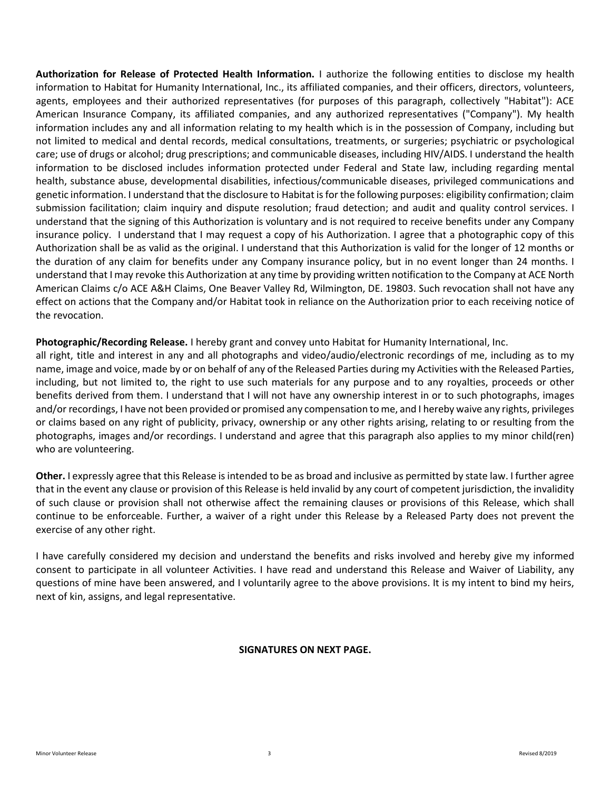Authorization for Release of Protected Health Information. I authorize the following entities to disclose my health information to Habitat for Humanity International, Inc., its affiliated companies, and their officers, directors, volunteers, agents, employees and their authorized representatives (for purposes of this paragraph, collectively "Habitat"): ACE American Insurance Company, its affiliated companies, and any authorized representatives ("Company"). My health information includes any and all information relating to my health which is in the possession of Company, including but not limited to medical and dental records, medical consultations, treatments, or surgeries; psychiatric or psychological care; use of drugs or alcohol; drug prescriptions; and communicable diseases, including HIV/AIDS. I understand the health information to be disclosed includes information protected under Federal and State law, including regarding mental health, substance abuse, developmental disabilities, infectious/communicable diseases, privileged communications and genetic information. I understand that the disclosure to Habitat is for the following purposes: eligibility confirmation; claim submission facilitation; claim inquiry and dispute resolution; fraud detection; and audit and quality control services. I understand that the signing of this Authorization is voluntary and is not required to receive benefits under any Company insurance policy. I understand that I may request a copy of his Authorization. I agree that a photographic copy of this Authorization shall be as valid as the original. I understand that this Authorization is valid for the longer of 12 months or the duration of any claim for benefits under any Company insurance policy, but in no event longer than 24 months. I understand that I may revoke this Authorization at any time by providing written notification to the Company at ACE North American Claims c/o ACE A&H Claims, One Beaver Valley Rd, Wilmington, DE. 19803. Such revocation shall not have any effect on actions that the Company and/or Habitat took in reliance on the Authorization prior to each receiving notice of the revocation.

Photographic/Recording Release. I hereby grant and convey unto Habitat for Humanity International, Inc.

all right, title and interest in any and all photographs and video/audio/electronic recordings of me, including as to my name, image and voice, made by or on behalf of any of the Released Parties during my Activities with the Released Parties, including, but not limited to, the right to use such materials for any purpose and to any royalties, proceeds or other benefits derived from them. I understand that I will not have any ownership interest in or to such photographs, images and/or recordings, I have not been provided or promised any compensation to me, and I hereby waive any rights, privileges or claims based on any right of publicity, privacy, ownership or any other rights arising, relating to or resulting from the photographs, images and/or recordings. I understand and agree that this paragraph also applies to my minor child(ren) who are volunteering.

Other. I expressly agree that this Release is intended to be as broad and inclusive as permitted by state law. I further agree that in the event any clause or provision of this Release is held invalid by any court of competent jurisdiction, the invalidity of such clause or provision shall not otherwise affect the remaining clauses or provisions of this Release, which shall continue to be enforceable. Further, a waiver of a right under this Release by a Released Party does not prevent the exercise of any other right.

I have carefully considered my decision and understand the benefits and risks involved and hereby give my informed consent to participate in all volunteer Activities. I have read and understand this Release and Waiver of Liability, any questions of mine have been answered, and I voluntarily agree to the above provisions. It is my intent to bind my heirs, next of kin, assigns, and legal representative.

#### SIGNATURES ON NEXT PAGE.